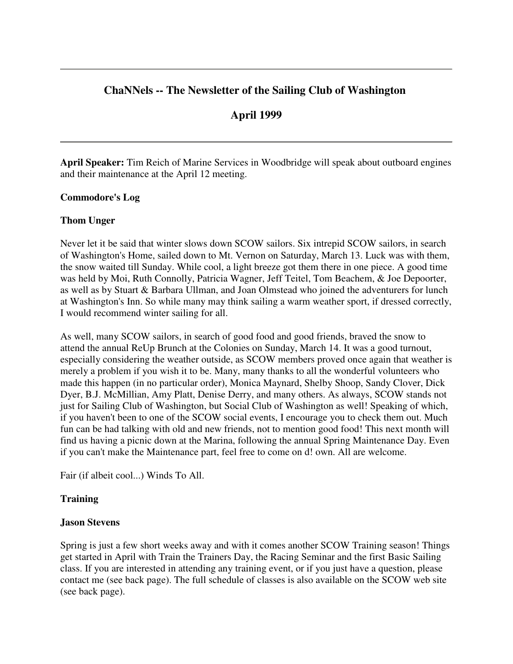# **ChaNNels -- The Newsletter of the Sailing Club of Washington**

# **April 1999**

**April Speaker:** Tim Reich of Marine Services in Woodbridge will speak about outboard engines and their maintenance at the April 12 meeting.

### **Commodore's Log**

### **Thom Unger**

Never let it be said that winter slows down SCOW sailors. Six intrepid SCOW sailors, in search of Washington's Home, sailed down to Mt. Vernon on Saturday, March 13. Luck was with them, the snow waited till Sunday. While cool, a light breeze got them there in one piece. A good time was held by Moi, Ruth Connolly, Patricia Wagner, Jeff Teitel, Tom Beachem, & Joe Depoorter, as well as by Stuart & Barbara Ullman, and Joan Olmstead who joined the adventurers for lunch at Washington's Inn. So while many may think sailing a warm weather sport, if dressed correctly, I would recommend winter sailing for all.

As well, many SCOW sailors, in search of good food and good friends, braved the snow to attend the annual ReUp Brunch at the Colonies on Sunday, March 14. It was a good turnout, especially considering the weather outside, as SCOW members proved once again that weather is merely a problem if you wish it to be. Many, many thanks to all the wonderful volunteers who made this happen (in no particular order), Monica Maynard, Shelby Shoop, Sandy Clover, Dick Dyer, B.J. McMillian, Amy Platt, Denise Derry, and many others. As always, SCOW stands not just for Sailing Club of Washington, but Social Club of Washington as well! Speaking of which, if you haven't been to one of the SCOW social events, I encourage you to check them out. Much fun can be had talking with old and new friends, not to mention good food! This next month will find us having a picnic down at the Marina, following the annual Spring Maintenance Day. Even if you can't make the Maintenance part, feel free to come on d! own. All are welcome.

Fair (if albeit cool...) Winds To All.

# **Training**

#### **Jason Stevens**

Spring is just a few short weeks away and with it comes another SCOW Training season! Things get started in April with Train the Trainers Day, the Racing Seminar and the first Basic Sailing class. If you are interested in attending any training event, or if you just have a question, please contact me (see back page). The full schedule of classes is also available on the SCOW web site (see back page).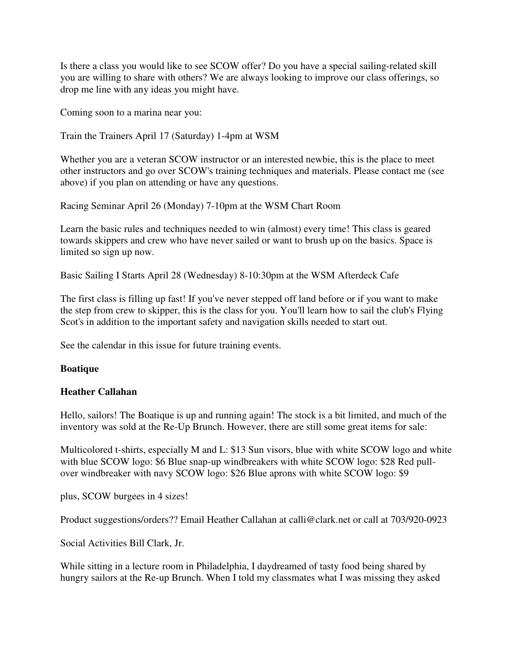Is there a class you would like to see SCOW offer? Do you have a special sailing-related skill you are willing to share with others? We are always looking to improve our class offerings, so drop me line with any ideas you might have.

Coming soon to a marina near you:

Train the Trainers April 17 (Saturday) 1-4pm at WSM

Whether you are a veteran SCOW instructor or an interested newbie, this is the place to meet other instructors and go over SCOW's training techniques and materials. Please contact me (see above) if you plan on attending or have any questions.

Racing Seminar April 26 (Monday) 7-10pm at the WSM Chart Room

Learn the basic rules and techniques needed to win (almost) every time! This class is geared towards skippers and crew who have never sailed or want to brush up on the basics. Space is limited so sign up now.

Basic Sailing I Starts April 28 (Wednesday) 8-10:30pm at the WSM Afterdeck Cafe

The first class is filling up fast! If you've never stepped off land before or if you want to make the step from crew to skipper, this is the class for you. You'll learn how to sail the club's Flying Scot's in addition to the important safety and navigation skills needed to start out.

See the calendar in this issue for future training events.

# **Boatique**

# **Heather Callahan**

Hello, sailors! The Boatique is up and running again! The stock is a bit limited, and much of the inventory was sold at the Re-Up Brunch. However, there are still some great items for sale:

Multicolored t-shirts, especially M and L: \$13 Sun visors, blue with white SCOW logo and white with blue SCOW logo: \$6 Blue snap-up windbreakers with white SCOW logo: \$28 Red pullover windbreaker with navy SCOW logo: \$26 Blue aprons with white SCOW logo: \$9

plus, SCOW burgees in 4 sizes!

Product suggestions/orders?? Email Heather Callahan at calli@clark.net or call at 703/920-0923

Social Activities Bill Clark, Jr.

While sitting in a lecture room in Philadelphia, I daydreamed of tasty food being shared by hungry sailors at the Re-up Brunch. When I told my classmates what I was missing they asked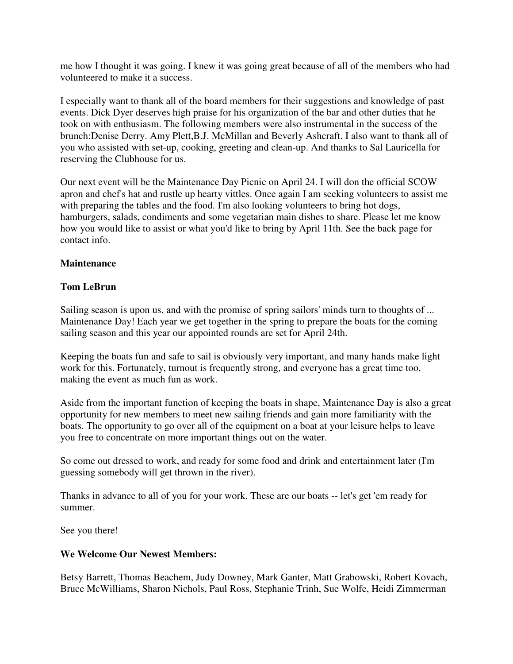me how I thought it was going. I knew it was going great because of all of the members who had volunteered to make it a success.

I especially want to thank all of the board members for their suggestions and knowledge of past events. Dick Dyer deserves high praise for his organization of the bar and other duties that he took on with enthusiasm. The following members were also instrumental in the success of the brunch:Denise Derry. Amy Plett,B.J. McMillan and Beverly Ashcraft. I also want to thank all of you who assisted with set-up, cooking, greeting and clean-up. And thanks to Sal Lauricella for reserving the Clubhouse for us.

Our next event will be the Maintenance Day Picnic on April 24. I will don the official SCOW apron and chef's hat and rustle up hearty vittles. Once again I am seeking volunteers to assist me with preparing the tables and the food. I'm also looking volunteers to bring hot dogs, hamburgers, salads, condiments and some vegetarian main dishes to share. Please let me know how you would like to assist or what you'd like to bring by April 11th. See the back page for contact info.

### **Maintenance**

### **Tom LeBrun**

Sailing season is upon us, and with the promise of spring sailors' minds turn to thoughts of ... Maintenance Day! Each year we get together in the spring to prepare the boats for the coming sailing season and this year our appointed rounds are set for April 24th.

Keeping the boats fun and safe to sail is obviously very important, and many hands make light work for this. Fortunately, turnout is frequently strong, and everyone has a great time too, making the event as much fun as work.

Aside from the important function of keeping the boats in shape, Maintenance Day is also a great opportunity for new members to meet new sailing friends and gain more familiarity with the boats. The opportunity to go over all of the equipment on a boat at your leisure helps to leave you free to concentrate on more important things out on the water.

So come out dressed to work, and ready for some food and drink and entertainment later (I'm guessing somebody will get thrown in the river).

Thanks in advance to all of you for your work. These are our boats -- let's get 'em ready for summer.

See you there!

#### **We Welcome Our Newest Members:**

Betsy Barrett, Thomas Beachem, Judy Downey, Mark Ganter, Matt Grabowski, Robert Kovach, Bruce McWilliams, Sharon Nichols, Paul Ross, Stephanie Trinh, Sue Wolfe, Heidi Zimmerman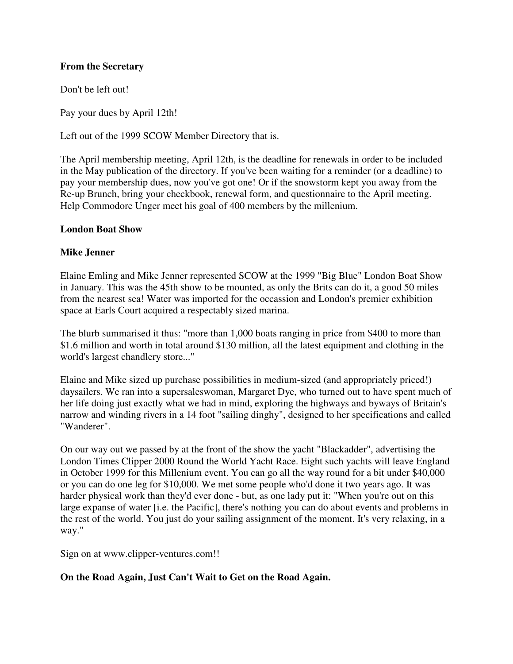### **From the Secretary**

Don't be left out!

Pay your dues by April 12th!

Left out of the 1999 SCOW Member Directory that is.

The April membership meeting, April 12th, is the deadline for renewals in order to be included in the May publication of the directory. If you've been waiting for a reminder (or a deadline) to pay your membership dues, now you've got one! Or if the snowstorm kept you away from the Re-up Brunch, bring your checkbook, renewal form, and questionnaire to the April meeting. Help Commodore Unger meet his goal of 400 members by the millenium.

#### **London Boat Show**

#### **Mike Jenner**

Elaine Emling and Mike Jenner represented SCOW at the 1999 "Big Blue" London Boat Show in January. This was the 45th show to be mounted, as only the Brits can do it, a good 50 miles from the nearest sea! Water was imported for the occassion and London's premier exhibition space at Earls Court acquired a respectably sized marina.

The blurb summarised it thus: "more than 1,000 boats ranging in price from \$400 to more than \$1.6 million and worth in total around \$130 million, all the latest equipment and clothing in the world's largest chandlery store..."

Elaine and Mike sized up purchase possibilities in medium-sized (and appropriately priced!) daysailers. We ran into a supersaleswoman, Margaret Dye, who turned out to have spent much of her life doing just exactly what we had in mind, exploring the highways and byways of Britain's narrow and winding rivers in a 14 foot "sailing dinghy", designed to her specifications and called "Wanderer".

On our way out we passed by at the front of the show the yacht "Blackadder", advertising the London Times Clipper 2000 Round the World Yacht Race. Eight such yachts will leave England in October 1999 for this Millenium event. You can go all the way round for a bit under \$40,000 or you can do one leg for \$10,000. We met some people who'd done it two years ago. It was harder physical work than they'd ever done - but, as one lady put it: "When you're out on this large expanse of water [i.e. the Pacific], there's nothing you can do about events and problems in the rest of the world. You just do your sailing assignment of the moment. It's very relaxing, in a way."

Sign on at www.clipper-ventures.com!!

#### **On the Road Again, Just Can't Wait to Get on the Road Again.**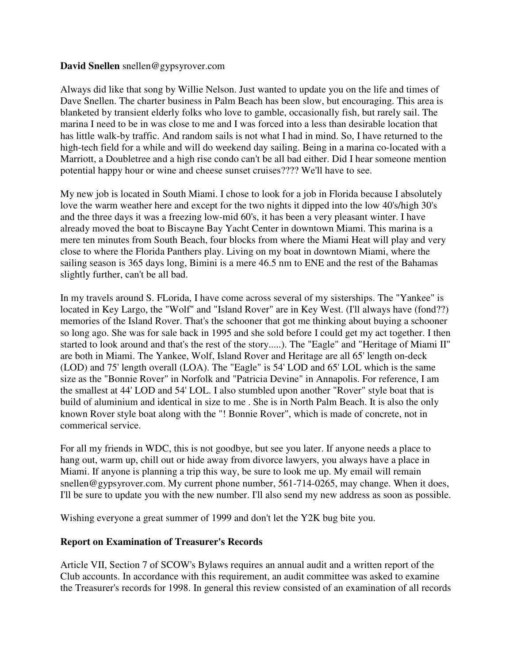#### **David Snellen** snellen@gypsyrover.com

Always did like that song by Willie Nelson. Just wanted to update you on the life and times of Dave Snellen. The charter business in Palm Beach has been slow, but encouraging. This area is blanketed by transient elderly folks who love to gamble, occasionally fish, but rarely sail. The marina I need to be in was close to me and I was forced into a less than desirable location that has little walk-by traffic. And random sails is not what I had in mind. So, I have returned to the high-tech field for a while and will do weekend day sailing. Being in a marina co-located with a Marriott, a Doubletree and a high rise condo can't be all bad either. Did I hear someone mention potential happy hour or wine and cheese sunset cruises???? We'll have to see.

My new job is located in South Miami. I chose to look for a job in Florida because I absolutely love the warm weather here and except for the two nights it dipped into the low 40's/high 30's and the three days it was a freezing low-mid 60's, it has been a very pleasant winter. I have already moved the boat to Biscayne Bay Yacht Center in downtown Miami. This marina is a mere ten minutes from South Beach, four blocks from where the Miami Heat will play and very close to where the Florida Panthers play. Living on my boat in downtown Miami, where the sailing season is 365 days long, Bimini is a mere 46.5 nm to ENE and the rest of the Bahamas slightly further, can't be all bad.

In my travels around S. FLorida, I have come across several of my sisterships. The "Yankee" is located in Key Largo, the "Wolf" and "Island Rover" are in Key West. (I'll always have (fond??) memories of the Island Rover. That's the schooner that got me thinking about buying a schooner so long ago. She was for sale back in 1995 and she sold before I could get my act together. I then started to look around and that's the rest of the story.....). The "Eagle" and "Heritage of Miami II" are both in Miami. The Yankee, Wolf, Island Rover and Heritage are all 65' length on-deck (LOD) and 75' length overall (LOA). The "Eagle" is 54' LOD and 65' LOL which is the same size as the "Bonnie Rover" in Norfolk and "Patricia Devine" in Annapolis. For reference, I am the smallest at 44' LOD and 54' LOL. I also stumbled upon another "Rover" style boat that is build of aluminium and identical in size to me . She is in North Palm Beach. It is also the only known Rover style boat along with the "! Bonnie Rover", which is made of concrete, not in commerical service.

For all my friends in WDC, this is not goodbye, but see you later. If anyone needs a place to hang out, warm up, chill out or hide away from divorce lawyers, you always have a place in Miami. If anyone is planning a trip this way, be sure to look me up. My email will remain snellen@gypsyrover.com. My current phone number, 561-714-0265, may change. When it does, I'll be sure to update you with the new number. I'll also send my new address as soon as possible.

Wishing everyone a great summer of 1999 and don't let the Y2K bug bite you.

#### **Report on Examination of Treasurer's Records**

Article VII, Section 7 of SCOW's Bylaws requires an annual audit and a written report of the Club accounts. In accordance with this requirement, an audit committee was asked to examine the Treasurer's records for 1998. In general this review consisted of an examination of all records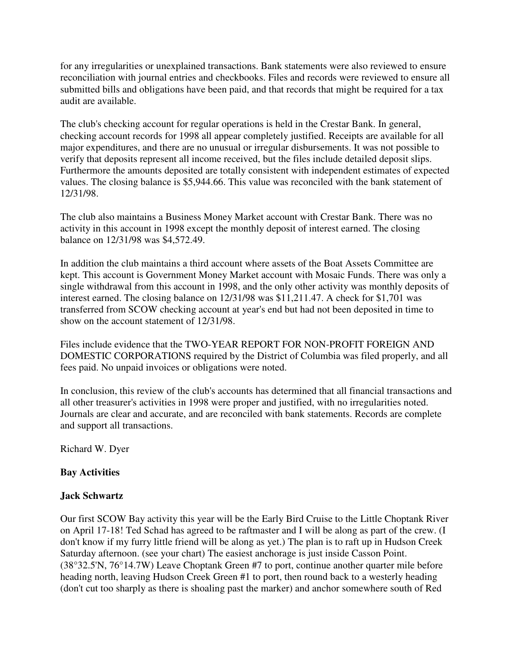for any irregularities or unexplained transactions. Bank statements were also reviewed to ensure reconciliation with journal entries and checkbooks. Files and records were reviewed to ensure all submitted bills and obligations have been paid, and that records that might be required for a tax audit are available.

The club's checking account for regular operations is held in the Crestar Bank. In general, checking account records for 1998 all appear completely justified. Receipts are available for all major expenditures, and there are no unusual or irregular disbursements. It was not possible to verify that deposits represent all income received, but the files include detailed deposit slips. Furthermore the amounts deposited are totally consistent with independent estimates of expected values. The closing balance is \$5,944.66. This value was reconciled with the bank statement of 12/31/98.

The club also maintains a Business Money Market account with Crestar Bank. There was no activity in this account in 1998 except the monthly deposit of interest earned. The closing balance on 12/31/98 was \$4,572.49.

In addition the club maintains a third account where assets of the Boat Assets Committee are kept. This account is Government Money Market account with Mosaic Funds. There was only a single withdrawal from this account in 1998, and the only other activity was monthly deposits of interest earned. The closing balance on 12/31/98 was \$11,211.47. A check for \$1,701 was transferred from SCOW checking account at year's end but had not been deposited in time to show on the account statement of 12/31/98.

Files include evidence that the TWO-YEAR REPORT FOR NON-PROFIT FOREIGN AND DOMESTIC CORPORATIONS required by the District of Columbia was filed properly, and all fees paid. No unpaid invoices or obligations were noted.

In conclusion, this review of the club's accounts has determined that all financial transactions and all other treasurer's activities in 1998 were proper and justified, with no irregularities noted. Journals are clear and accurate, and are reconciled with bank statements. Records are complete and support all transactions.

Richard W. Dyer

# **Bay Activities**

#### **Jack Schwartz**

Our first SCOW Bay activity this year will be the Early Bird Cruise to the Little Choptank River on April 17-18! Ted Schad has agreed to be raftmaster and I will be along as part of the crew. (I don't know if my furry little friend will be along as yet.) The plan is to raft up in Hudson Creek Saturday afternoon. (see your chart) The easiest anchorage is just inside Casson Point. (38°32.5'N, 76°14.7W) Leave Choptank Green #7 to port, continue another quarter mile before heading north, leaving Hudson Creek Green #1 to port, then round back to a westerly heading (don't cut too sharply as there is shoaling past the marker) and anchor somewhere south of Red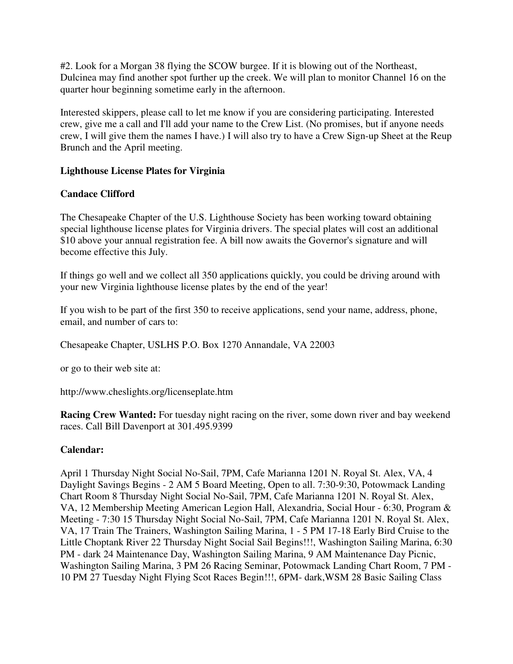#2. Look for a Morgan 38 flying the SCOW burgee. If it is blowing out of the Northeast, Dulcinea may find another spot further up the creek. We will plan to monitor Channel 16 on the quarter hour beginning sometime early in the afternoon.

Interested skippers, please call to let me know if you are considering participating. Interested crew, give me a call and I'll add your name to the Crew List. (No promises, but if anyone needs crew, I will give them the names I have.) I will also try to have a Crew Sign-up Sheet at the Reup Brunch and the April meeting.

### **Lighthouse License Plates for Virginia**

# **Candace Clifford**

The Chesapeake Chapter of the U.S. Lighthouse Society has been working toward obtaining special lighthouse license plates for Virginia drivers. The special plates will cost an additional \$10 above your annual registration fee. A bill now awaits the Governor's signature and will become effective this July.

If things go well and we collect all 350 applications quickly, you could be driving around with your new Virginia lighthouse license plates by the end of the year!

If you wish to be part of the first 350 to receive applications, send your name, address, phone, email, and number of cars to:

Chesapeake Chapter, USLHS P.O. Box 1270 Annandale, VA 22003

or go to their web site at:

http://www.cheslights.org/licenseplate.htm

**Racing Crew Wanted:** For tuesday night racing on the river, some down river and bay weekend races. Call Bill Davenport at 301.495.9399

# **Calendar:**

April 1 Thursday Night Social No-Sail, 7PM, Cafe Marianna 1201 N. Royal St. Alex, VA, 4 Daylight Savings Begins - 2 AM 5 Board Meeting, Open to all. 7:30-9:30, Potowmack Landing Chart Room 8 Thursday Night Social No-Sail, 7PM, Cafe Marianna 1201 N. Royal St. Alex, VA, 12 Membership Meeting American Legion Hall, Alexandria, Social Hour - 6:30, Program & Meeting - 7:30 15 Thursday Night Social No-Sail, 7PM, Cafe Marianna 1201 N. Royal St. Alex, VA, 17 Train The Trainers, Washington Sailing Marina, 1 - 5 PM 17-18 Early Bird Cruise to the Little Choptank River 22 Thursday Night Social Sail Begins!!!, Washington Sailing Marina, 6:30 PM - dark 24 Maintenance Day, Washington Sailing Marina, 9 AM Maintenance Day Picnic, Washington Sailing Marina, 3 PM 26 Racing Seminar, Potowmack Landing Chart Room, 7 PM - 10 PM 27 Tuesday Night Flying Scot Races Begin!!!, 6PM- dark,WSM 28 Basic Sailing Class